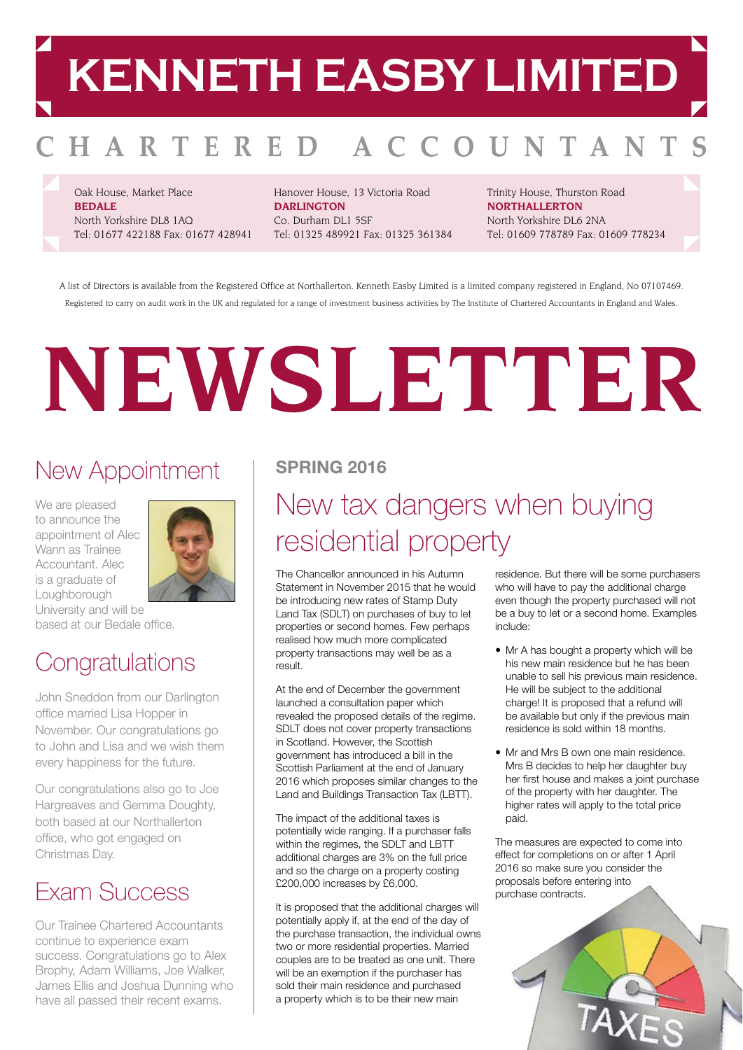## **KENNETH EASBY LIMITED**

#### OUNTAN HARTERED A C

Oak House, Market Place **BEDALE** North Yorkshire DL8 1AQ Tel: 01677 422188 Fax: 01677 428941 Hanover House, 13 Victoria Road **DARLINGTON** Co. Durham DL1 5SF Tel: 01325 489921 Fax: 01325 361384 Trinity House, Thurston Road **NORTHALLERTON** North Yorkshire DL6 2NA Tel: 01609 778789 Fax: 01609 778234

A list of Directors is available from the Registered Office at Northallerton. Kenneth Easby Limited is a limited company registered in England, No 07107469. Registered to carry on audit work in the UK and regulated for a range of investment business activities by The Institute of Chartered Accountants in England and Wales.

# **NEWSLETTER**

### New Appointment

We are pleased to announce the appointment of Alec Wann as Trainee Accountant. Alec is a graduate of **Loughborough** University and will be



based at our Bedale office.

### **Congratulations**

John Sneddon from our Darlington office married Lisa Hopper in November. Our congratulations go to John and Lisa and we wish them every happiness for the future.

Our congratulations also go to Joe Hargreaves and Gemma Doughty, both based at our Northallerton office, who got engaged on Christmas Day.

### Exam Success

Our Trainee Chartered Accountants continue to experience exam success. Congratulations go to Alex Brophy, Adam Williams, Joe Walker, James Ellis and Joshua Dunning who have all passed their recent exams.

### **SPRING 2016**

### New tax dangers when buying residential property

The Chancellor announced in his Autumn Statement in November 2015 that he would be introducing new rates of Stamp Duty Land Tax (SDLT) on purchases of buy to let properties or second homes. Few perhaps realised how much more complicated property transactions may well be as a result.

At the end of December the government launched a consultation paper which revealed the proposed details of the regime. SDLT does not cover property transactions in Scotland. However, the Scottish government has introduced a bill in the Scottish Parliament at the end of January 2016 which proposes similar changes to the Land and Buildings Transaction Tax (LBTT).

The impact of the additional taxes is potentially wide ranging. If a purchaser falls within the regimes, the SDLT and LBTT additional charges are 3% on the full price and so the charge on a property costing £200,000 increases by £6,000.

It is proposed that the additional charges will potentially apply if, at the end of the day of the purchase transaction, the individual owns two or more residential properties. Married couples are to be treated as one unit. There will be an exemption if the purchaser has sold their main residence and purchased a property which is to be their new main

residence. But there will be some purchasers who will have to pay the additional charge even though the property purchased will not be a buy to let or a second home. Examples include:

- Mr A has bought a property which will be his new main residence but he has been unable to sell his previous main residence. He will be subject to the additional charge! It is proposed that a refund will be available but only if the previous main residence is sold within 18 months.
- Mr and Mrs B own one main residence. Mrs B decides to help her daughter buy her first house and makes a joint purchase of the property with her daughter. The higher rates will apply to the total price paid.

The measures are expected to come into effect for completions on or after 1 April 2016 so make sure you consider the proposals before entering into purchase contracts.

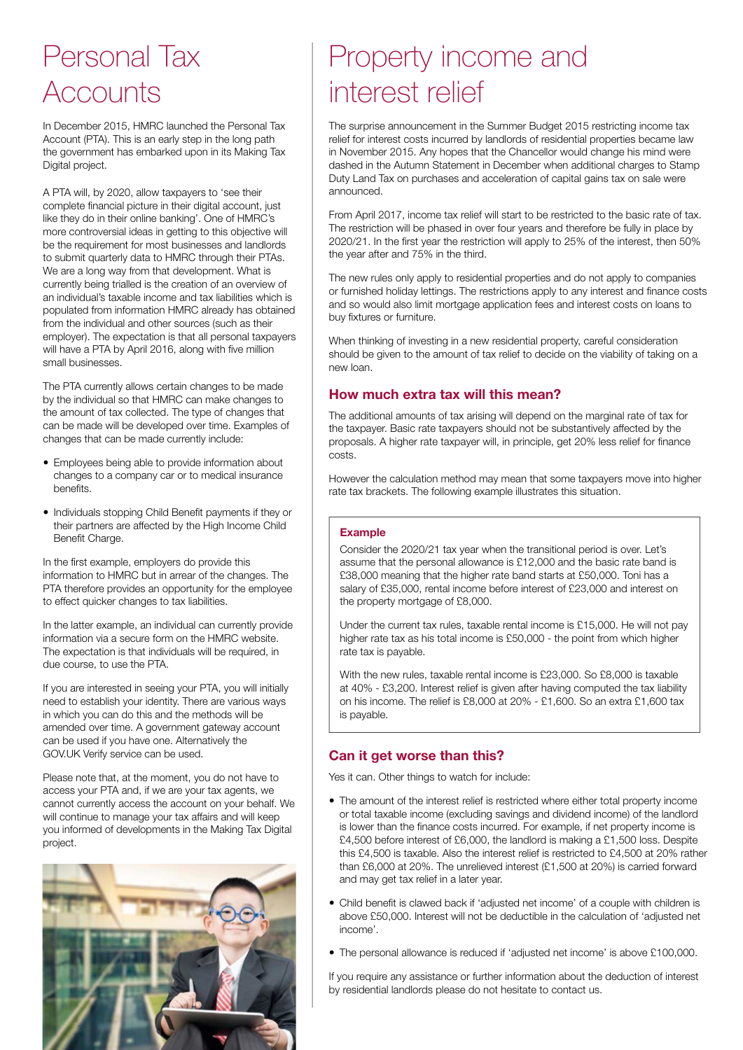### Personal Tax **Accounts**

In December 2015, HMRC launched the Personal Tax Account (PTA). This is an early step in the long path the government has embarked upon in its Making Tax Digital project.

A PTA will, by 2020, allow taxpayers to 'see their complete financial picture in their digital account, just like they do in their online banking'. One of HMRC's more controversial ideas in getting to this objective will be the requirement for most businesses and landlords to submit quarterly data to HMRC through their PTAs. We are a long way from that development. What is currently being trialled is the creation of an overview of an individual's taxable income and tax liabilities which is populated from information HMRC already has obtained from the individual and other sources (such as their employer). The expectation is that all personal taxpayers will have a PTA by April 2016, along with five million small businesses.

The PTA currently allows certain changes to be made by the individual so that HMRC can make changes to the amount of tax collected. The type of changes that can be made will be developed over time. Examples of changes that can be made currently include:

- Employees being able to provide information about changes to a company car or to medical insurance benefits.
- Individuals stopping Child Benefit payments if they or their partners are affected by the High Income Child Benefit Charge.

In the first example, employers do provide this information to HMRC but in arrear of the changes. The PTA therefore provides an opportunity for the employee to effect quicker changes to tax liabilities.

In the latter example, an individual can currently provide information via a secure form on the HMRC website. The expectation is that individuals will be required, in due course, to use the PTA.

If you are interested in seeing your PTA, you will initially need to establish your identity. There are various ways in which you can do this and the methods will be amended over time. A government gateway account can be used if you have one. Alternatively the GOV.UK Verify service can be used.

Please note that, at the moment, you do not have to access your PTA and, if we are your tax agents, we cannot currently access the account on your behalf. We will continue to manage your tax affairs and will keep you informed of developments in the Making Tax Digital project.



### Property income and interest relief

The surprise announcement in the Summer Budget 2015 restricting income tax relief for interest costs incurred by landlords of residential properties became law in November 2015. Any hopes that the Chancellor would change his mind were dashed in the Autumn Statement in December when additional charges to Stamp Duty Land Tax on purchases and acceleration of capital gains tax on sale were announced.

From April 2017, income tax relief will start to be restricted to the basic rate of tax. The restriction will be phased in over four years and therefore be fully in place by 2020/21. In the first year the restriction will apply to 25% of the interest, then 50% the year after and 75% in the third.

The new rules only apply to residential properties and do not apply to companies or furnished holiday lettings. The restrictions apply to any interest and finance costs and so would also limit mortgage application fees and interest costs on loans to buy fixtures or furniture.

When thinking of investing in a new residential property, careful consideration should be given to the amount of tax relief to decide on the viability of taking on a new loan.

#### **How much extra tax will this mean?**

The additional amounts of tax arising will depend on the marginal rate of tax for the taxpayer. Basic rate taxpayers should not be substantively affected by the proposals. A higher rate taxpayer will, in principle, get 20% less relief for finance costs.

However the calculation method may mean that some taxpayers move into higher rate tax brackets. The following example illustrates this situation.

#### **Example**

Consider the 2020/21 tax year when the transitional period is over. Let's assume that the personal allowance is £12,000 and the basic rate band is £38,000 meaning that the higher rate band starts at £50,000. Toni has a salary of £35,000, rental income before interest of £23,000 and interest on the property mortgage of £8,000.

Under the current tax rules, taxable rental income is £15,000. He will not pay higher rate tax as his total income is £50,000 - the point from which higher rate tax is payable.

With the new rules, taxable rental income is £23,000. So £8,000 is taxable at 40% - £3,200. Interest relief is given after having computed the tax liability on his income. The relief is £8,000 at 20% - £1,600. So an extra £1,600 tax is payable.

#### **Can it get worse than this?**

Yes it can. Other things to watch for include:

- The amount of the interest relief is restricted where either total property income or total taxable income (excluding savings and dividend income) of the landlord is lower than the finance costs incurred. For example, if net property income is £4,500 before interest of £6,000, the landlord is making a £1,500 loss. Despite this £4,500 is taxable. Also the interest relief is restricted to £4,500 at 20% rather than £6,000 at 20%. The unrelieved interest (£1,500 at 20%) is carried forward and may get tax relief in a later year.
- Child benefit is clawed back if 'adjusted net income' of a couple with children is above £50,000. Interest will not be deductible in the calculation of 'adjusted net income'.
- The personal allowance is reduced if 'adjusted net income' is above £100,000.

If you require any assistance or further information about the deduction of interest by residential landlords please do not hesitate to contact us.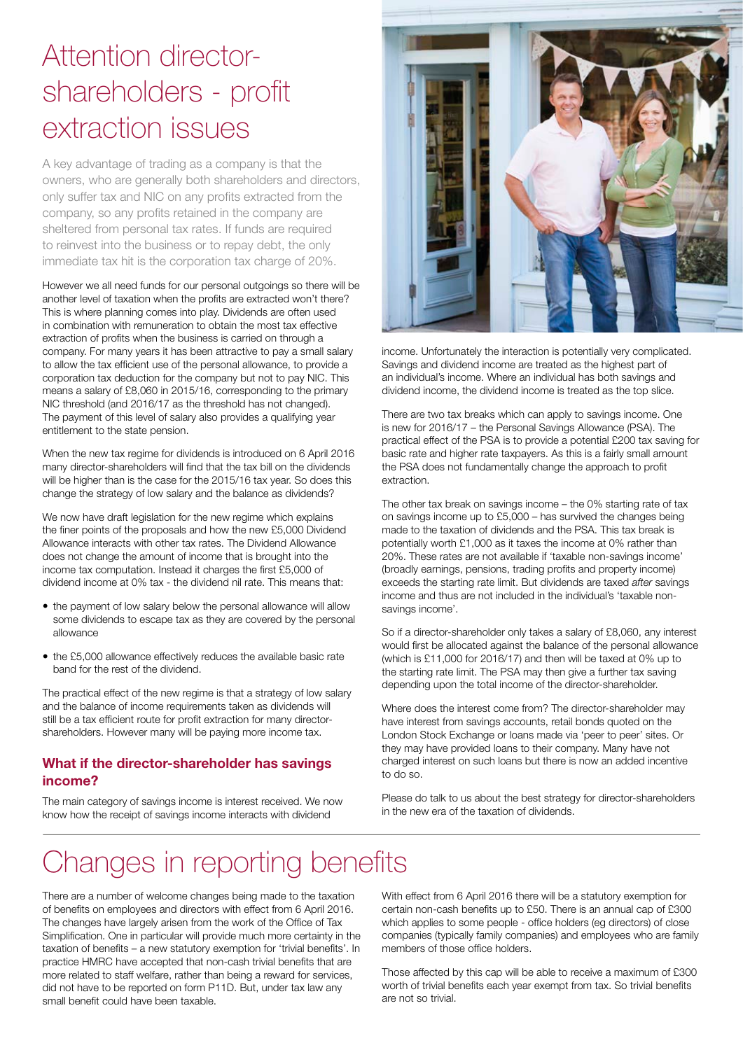### Attention directorshareholders - profit extraction issues

A key advantage of trading as a company is that the owners, who are generally both shareholders and directors, only suffer tax and NIC on any profits extracted from the company, so any profits retained in the company are sheltered from personal tax rates. If funds are required to reinvest into the business or to repay debt, the only immediate tax hit is the corporation tax charge of 20%.

However we all need funds for our personal outgoings so there will be another level of taxation when the profits are extracted won't there? This is where planning comes into play. Dividends are often used in combination with remuneration to obtain the most tax effective extraction of profits when the business is carried on through a company. For many years it has been attractive to pay a small salary to allow the tax efficient use of the personal allowance, to provide a corporation tax deduction for the company but not to pay NIC. This means a salary of £8,060 in 2015/16, corresponding to the primary NIC threshold (and 2016/17 as the threshold has not changed). The payment of this level of salary also provides a qualifying year entitlement to the state pension.

When the new tax regime for dividends is introduced on 6 April 2016 many director-shareholders will find that the tax bill on the dividends will be higher than is the case for the 2015/16 tax year. So does this change the strategy of low salary and the balance as dividends?

We now have draft legislation for the new regime which explains the finer points of the proposals and how the new £5,000 Dividend Allowance interacts with other tax rates. The Dividend Allowance does not change the amount of income that is brought into the income tax computation. Instead it charges the first £5,000 of dividend income at 0% tax - the dividend nil rate. This means that:

- the payment of low salary below the personal allowance will allow some dividends to escape tax as they are covered by the personal allowance
- the £5,000 allowance effectively reduces the available basic rate band for the rest of the dividend.

The practical effect of the new regime is that a strategy of low salary and the balance of income requirements taken as dividends will still be a tax efficient route for profit extraction for many directorshareholders. However many will be paying more income tax.

#### **What if the director-shareholder has savings income?**

The main category of savings income is interest received. We now know how the receipt of savings income interacts with dividend



income. Unfortunately the interaction is potentially very complicated. Savings and dividend income are treated as the highest part of an individual's income. Where an individual has both savings and dividend income, the dividend income is treated as the top slice.

There are two tax breaks which can apply to savings income. One is new for 2016/17 – the Personal Savings Allowance (PSA). The practical effect of the PSA is to provide a potential £200 tax saving for basic rate and higher rate taxpayers. As this is a fairly small amount the PSA does not fundamentally change the approach to profit extraction.

The other tax break on savings income – the 0% starting rate of tax on savings income up to £5,000 – has survived the changes being made to the taxation of dividends and the PSA. This tax break is potentially worth £1,000 as it taxes the income at 0% rather than 20%. These rates are not available if 'taxable non-savings income' (broadly earnings, pensions, trading profits and property income) exceeds the starting rate limit. But dividends are taxed *after* savings income and thus are not included in the individual's 'taxable nonsavings income'.

So if a director-shareholder only takes a salary of £8,060, any interest would first be allocated against the balance of the personal allowance (which is £11,000 for 2016/17) and then will be taxed at 0% up to the starting rate limit. The PSA may then give a further tax saving depending upon the total income of the director-shareholder.

Where does the interest come from? The director-shareholder may have interest from savings accounts, retail bonds quoted on the London Stock Exchange or loans made via 'peer to peer' sites. Or they may have provided loans to their company. Many have not charged interest on such loans but there is now an added incentive to do so.

Please do talk to us about the best strategy for director-shareholders in the new era of the taxation of dividends.

### Changes in reporting benefits

There are a number of welcome changes being made to the taxation of benefits on employees and directors with effect from 6 April 2016. The changes have largely arisen from the work of the Office of Tax Simplification. One in particular will provide much more certainty in the taxation of benefits – a new statutory exemption for 'trivial benefits'. In practice HMRC have accepted that non-cash trivial benefits that are more related to staff welfare, rather than being a reward for services, did not have to be reported on form P11D. But, under tax law any small benefit could have been taxable.

With effect from 6 April 2016 there will be a statutory exemption for certain non-cash benefits up to £50. There is an annual cap of £300 which applies to some people - office holders (eg directors) of close companies (typically family companies) and employees who are family members of those office holders.

Those affected by this cap will be able to receive a maximum of £300 worth of trivial benefits each year exempt from tax. So trivial benefits are not so trivial.